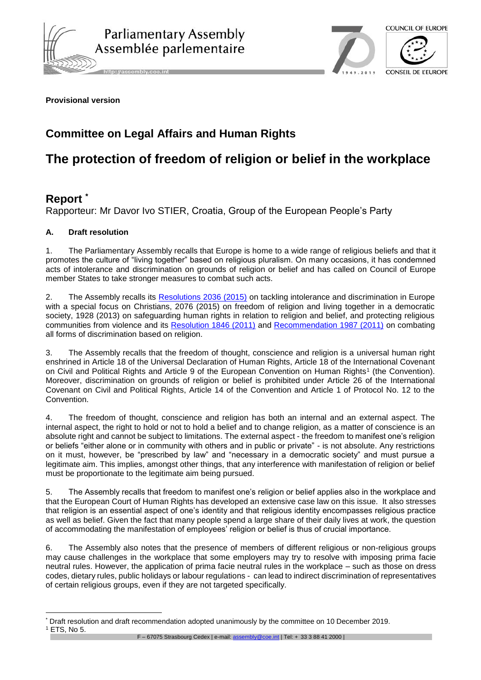

http://assembly.coe.int



#### **Provisional version**

## **Committee on Legal Affairs and Human Rights**

# **The protection of freedom of religion or belief in the workplace**

### **Report \***

1

Rapporteur: Mr Davor Ivo STIER, Croatia, Group of the European People's Party

#### **A. Draft resolution**

1. The Parliamentary Assembly recalls that Europe is home to a wide range of religious beliefs and that it promotes the culture of "living together" based on religious pluralism. On many occasions, it has condemned acts of intolerance and discrimination on grounds of religion or belief and has called on Council of Europe member States to take stronger measures to combat such acts.

2. The Assembly recalls its [Resolutions 2036 \(2015\)](http://assembly.coe.int/nw/xml/XRef/Xref-DocDetails-EN.asp?fileid=21549) on tackling intolerance and discrimination in Europe with a special focus on Christians, 2076 (2015) on freedom of religion and living together in a democratic society, 1928 (2013) on safeguarding human rights in relation to religion and belief, and protecting religious communities from violence and its [Resolution 1846 \(2011\)](http://assembly.coe.int/nw/xml/XRef/Xref-DocDetails-EN.asp?fileid=18055) and [Recommendation 1987 \(2011\)](http://assembly.coe.int/nw/xml/XRef/Xref-DocDetails-EN.asp?fileid=18043) on combating all forms of discrimination based on religion.

3. The Assembly recalls that the freedom of thought, conscience and religion is a universal human right enshrined in Article 18 of the Universal Declaration of Human Rights, Article 18 of the International Covenant on Civil and Political Rights and Article 9 of the European Convention on Human Rights<sup>1</sup> (the Convention). Moreover, discrimination on grounds of religion or belief is prohibited under Article 26 of the International Covenant on Civil and Political Rights, Article 14 of the Convention and Article 1 of Protocol No. 12 to the Convention.

4. The freedom of thought, conscience and religion has both an internal and an external aspect. The internal aspect, the right to hold or not to hold a belief and to change religion, as a matter of conscience is an absolute right and cannot be subject to limitations. The external aspect - the freedom to manifest one's religion or beliefs "either alone or in community with others and in public or private" - is not absolute. Any restrictions on it must, however, be "prescribed by law" and "necessary in a democratic society" and must pursue a legitimate aim. This implies, amongst other things, that any interference with manifestation of religion or belief must be proportionate to the legitimate aim being pursued.

5. The Assembly recalls that freedom to manifest one's religion or belief applies also in the workplace and that the European Court of Human Rights has developed an extensive case law on this issue. It also stresses that religion is an essential aspect of one's identity and that religious identity encompasses religious practice as well as belief. Given the fact that many people spend a large share of their daily lives at work, the question of accommodating the manifestation of employees' religion or belief is thus of crucial importance.

6. The Assembly also notes that the presence of members of different religious or non-religious groups may cause challenges in the workplace that some employers may try to resolve with imposing prima facie neutral rules. However, the application of prima facie neutral rules in the workplace – such as those on dress codes, dietary rules, public holidays or labour regulations - can lead to indirect discrimination of representatives of certain religious groups, even if they are not targeted specifically.

F – 67075 Strasbourg Cedex | e-mail[: assembly@coe.int](mailto:assembly@coe.int) | Tel: + 33 3 88 41 2000 |

Draft resolution and draft recommendation adopted unanimously by the committee on 10 December 2019. <sup>1</sup> ETS, No 5.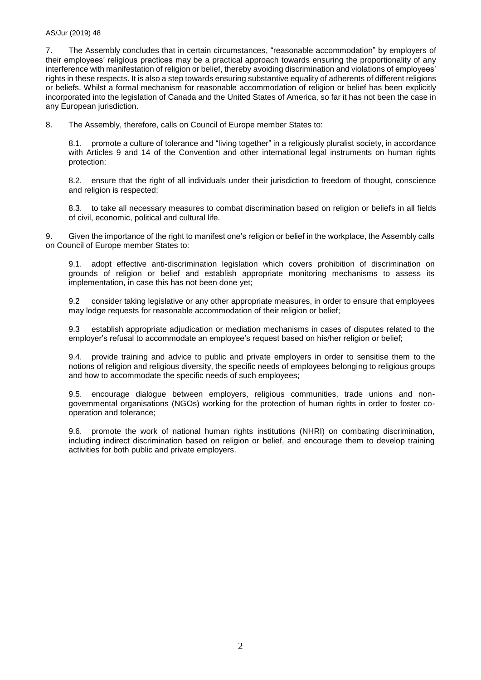#### AS/Jur (2019) 48

7. The Assembly concludes that in certain circumstances, "reasonable accommodation" by employers of their employees' religious practices may be a practical approach towards ensuring the proportionality of any interference with manifestation of religion or belief, thereby avoiding discrimination and violations of employees' rights in these respects. It is also a step towards ensuring substantive equality of adherents of different religions or beliefs. Whilst a formal mechanism for reasonable accommodation of religion or belief has been explicitly incorporated into the legislation of Canada and the United States of America, so far it has not been the case in any European jurisdiction.

8. The Assembly, therefore, calls on Council of Europe member States to:

8.1. promote a culture of tolerance and "living together" in a religiously pluralist society, in accordance with Articles 9 and 14 of the Convention and other international legal instruments on human rights protection;

8.2. ensure that the right of all individuals under their jurisdiction to freedom of thought, conscience and religion is respected;

8.3. to take all necessary measures to combat discrimination based on religion or beliefs in all fields of civil, economic, political and cultural life.

9. Given the importance of the right to manifest one's religion or belief in the workplace, the Assembly calls on Council of Europe member States to:

9.1. adopt effective anti-discrimination legislation which covers prohibition of discrimination on grounds of religion or belief and establish appropriate monitoring mechanisms to assess its implementation, in case this has not been done yet;

9.2 consider taking legislative or any other appropriate measures, in order to ensure that employees may lodge requests for reasonable accommodation of their religion or belief;

9.3 establish appropriate adjudication or mediation mechanisms in cases of disputes related to the employer's refusal to accommodate an employee's request based on his/her religion or belief;

9.4. provide training and advice to public and private employers in order to sensitise them to the notions of religion and religious diversity, the specific needs of employees belonging to religious groups and how to accommodate the specific needs of such employees;

9.5. encourage dialogue between employers, religious communities, trade unions and nongovernmental organisations (NGOs) working for the protection of human rights in order to foster cooperation and tolerance;

9.6. promote the work of national human rights institutions (NHRI) on combating discrimination, including indirect discrimination based on religion or belief, and encourage them to develop training activities for both public and private employers.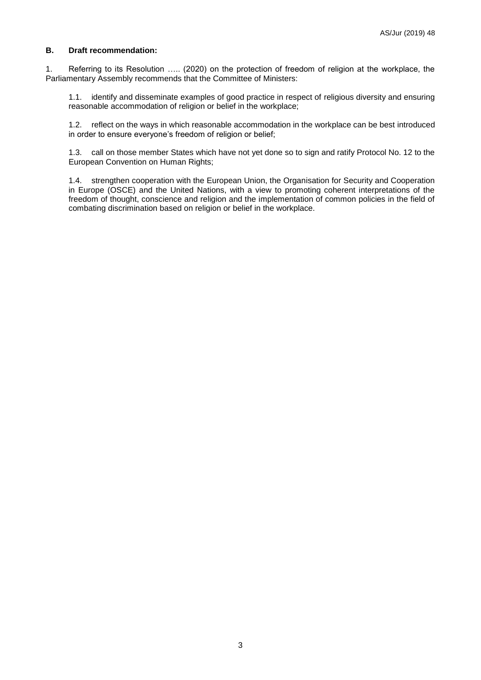#### **B. Draft recommendation:**

1. Referring to its Resolution ….. (2020) on the protection of freedom of religion at the workplace, the Parliamentary Assembly recommends that the Committee of Ministers:

1.1. identify and disseminate examples of good practice in respect of religious diversity and ensuring reasonable accommodation of religion or belief in the workplace;

1.2. reflect on the ways in which reasonable accommodation in the workplace can be best introduced in order to ensure everyone's freedom of religion or belief;

1.3. call on those member States which have not yet done so to sign and ratify Protocol No. 12 to the European Convention on Human Rights;

1.4. strengthen cooperation with the European Union, the Organisation for Security and Cooperation in Europe (OSCE) and the United Nations, with a view to promoting coherent interpretations of the freedom of thought, conscience and religion and the implementation of common policies in the field of combating discrimination based on religion or belief in the workplace.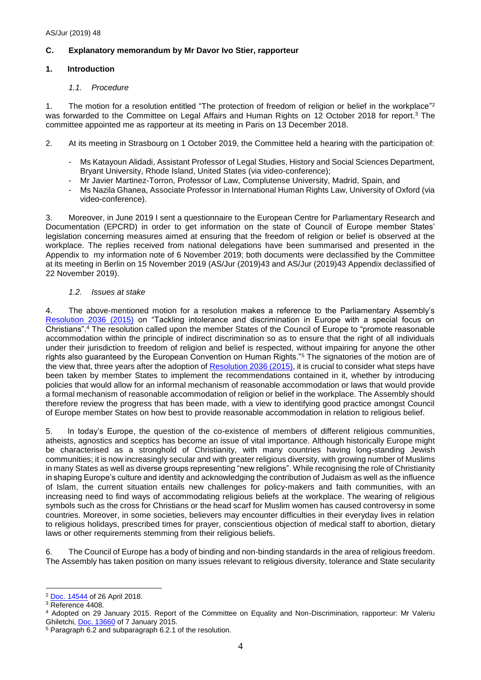#### **C. Explanatory memorandum by Mr Davor Ivo Stier, rapporteur**

#### **1. Introduction**

#### *1.1. Procedure*

1. The motion for a resolution entitled "The protection of freedom of religion or belief in the workplace" 2 was forwarded to the Committee on Legal Affairs and Human Rights on 12 October 2018 for report.<sup>3</sup> The committee appointed me as rapporteur at its meeting in Paris on 13 December 2018.

- 2. At its meeting in Strasbourg on 1 October 2019, the Committee held a hearing with the participation of:
	- Ms Katayoun Alidadi, Assistant Professor of Legal Studies, History and Social Sciences Department, Bryant University, Rhode Island, United States (via video-conference);
	- Mr Javier Martinez-Torron, Professor of Law, Complutense University, Madrid, Spain, and
	- Ms Nazila Ghanea, Associate Professor in International Human Rights Law, University of Oxford (via video-conference).

3. Moreover, in June 2019 I sent a questionnaire to the European Centre for Parliamentary Research and Documentation (EPCRD) in order to get information on the state of Council of Europe member States' legislation concerning measures aimed at ensuring that the freedom of religion or belief is observed at the workplace. The replies received from national delegations have been summarised and presented in the Appendix to my information note of 6 November 2019; both documents were declassified by the Committee at its meeting in Berlin on 15 November 2019 (AS/Jur (2019)43 and AS/Jur (2019)43 Appendix declassified of 22 November 2019).

#### *1.2. Issues at stake*

4. The above-mentioned motion for a resolution makes a reference to the Parliamentary Assembly's [Resolution 2036 \(2015\)](http://assembly.coe.int/nw/xml/XRef/Xref-DocDetails-FR.asp?fileid=21549) on "Tackling intolerance and discrimination in Europe with a special focus on Christians".<sup>4</sup> The resolution called upon the member States of the Council of Europe to "promote reasonable accommodation within the principle of indirect discrimination so as to ensure that the right of all individuals under their jurisdiction to freedom of religion and belief is respected, without impairing for anyone the other rights also guaranteed by the European Convention on Human Rights."<sup>5</sup> The signatories of the motion are of the view that, three years after the adoption of [Resolution 2036 \(2015\),](http://assembly.coe.int/nw/xml/XRef/Xref-DocDetails-EN.asp?fileid=21549) it is crucial to consider what steps have been taken by member States to implement the recommendations contained in it, whether by introducing policies that would allow for an informal mechanism of reasonable accommodation or laws that would provide a formal mechanism of reasonable accommodation of religion or belief in the workplace. The Assembly should therefore review the progress that has been made, with a view to identifying good practice amongst Council of Europe member States on how best to provide reasonable accommodation in relation to religious belief.

5. In today's Europe, the question of the co-existence of members of different religious communities, atheists, agnostics and sceptics has become an issue of vital importance. Although historically Europe might be characterised as a stronghold of Christianity, with many countries having long-standing Jewish communities; it is now increasingly secular and with greater religious diversity, with growing number of Muslims in many States as well as diverse groups representing "new religions". While recognising the role of Christianity in shaping Europe's culture and identity and acknowledging the contribution of Judaism as well as the influence of Islam, the current situation entails new challenges for policy-makers and faith communities, with an increasing need to find ways of accommodating religious beliefs at the workplace. The wearing of religious symbols such as the cross for Christians or the head scarf for Muslim women has caused controversy in some countries. Moreover, in some societies, believers may encounter difficulties in their everyday lives in relation to religious holidays, prescribed times for prayer, conscientious objection of medical staff to abortion, dietary laws or other requirements stemming from their religious beliefs.

6. The Council of Europe has a body of binding and non-binding standards in the area of religious freedom. The Assembly has taken position on many issues relevant to religious diversity, tolerance and State secularity

<sup>&</sup>lt;u>.</u> <sup>2</sup> [Doc. 14544](http://assembly.coe.int/nw/xml/XRef/Xref-DocDetails-EN.asp?fileid=24719) of 26 April 2018.

<sup>3</sup> Reference 4408.

<sup>4</sup> Adopted on 29 January 2015. Report of the Committee on Equality and Non-Discrimination, rapporteur: Mr Valeriu Ghiletchi[, Doc. 13660](http://assembly.coe.int/nw/xml/XRef/Xref-DocDetails-FR.asp?fileid=21340) of 7 January 2015.

<sup>5</sup> Paragraph 6.2 and subparagraph 6.2.1 of the resolution.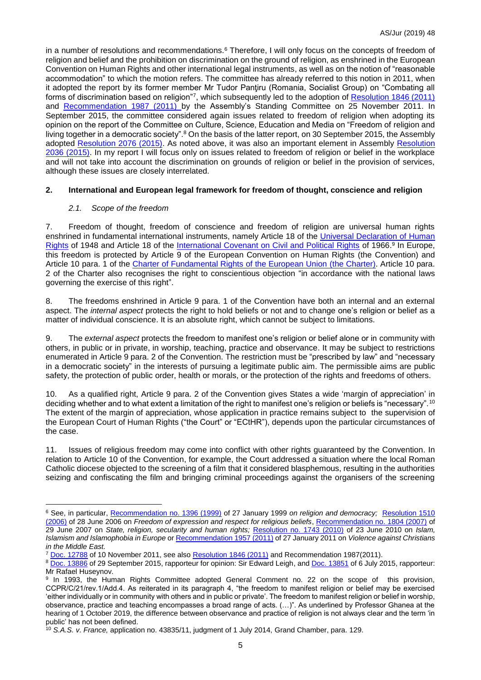in a number of resolutions and recommendations.<sup>6</sup> Therefore, I will only focus on the concepts of freedom of religion and belief and the prohibition on discrimination on the ground of religion, as enshrined in the European Convention on Human Rights and other international legal instruments, as well as on the notion of "reasonable accommodation" to which the motion refers. The committee has already referred to this notion in 2011, when it adopted the report by its former member Mr Tudor Panţiru (Romania, Socialist Group) on "Combating all forms of discrimination based on religion"<sup>7</sup>, which subsequently led to the adoption of <u>Resolution 1846 (2011)</u> and [Recommendation 1987 \(2011\)](http://assembly.coe.int/nw/xml/XRef/Xref-DocDetails-EN.asp?fileid=18043) by the Assembly's Standing Committee on 25 November 2011. In September 2015, the committee considered again issues related to freedom of religion when adopting its opinion on the report of the Committee on Culture, Science, Education and Media on "Freedom of religion and living together in a democratic society".<sup>8</sup> On the basis of the latter report, on 30 September 2015, the Assembly adopted [Resolution 2076 \(2015\).](http://assembly.coe.int/nw/xml/XRef/Xref-DocDetails-EN.asp?fileid=22199) As noted above, it was also an important element in Assembly [Resolution](http://assembly.coe.int/nw/xml/XRef/Xref-DocDetails-EN.asp?fileid=21549)  [2036 \(2015\).](http://assembly.coe.int/nw/xml/XRef/Xref-DocDetails-EN.asp?fileid=21549) In my report I will focus only on issues related to freedom of religion or belief in the workplace and will not take into account the discrimination on grounds of religion or belief in the provision of services, although these issues are closely interrelated.

#### **2. International and European legal framework for freedom of thought, conscience and religion**

#### *2.1. Scope of the freedom*

<u>.</u>

7. Freedom of thought, freedom of conscience and freedom of religion are universal human rights enshrined in fundamental international instruments, namely Article 18 of the [Universal Declaration of Human](https://www.un.org/en/universal-declaration-human-rights/index.html)  [Rights](https://www.un.org/en/universal-declaration-human-rights/index.html) of 1948 and Article 18 of the <u>International Covenant on Civil and Political Rights</u> of 1966.<sup>9</sup> In Europe, this freedom is protected by Article 9 of the European Convention on Human Rights (the Convention) and Article 10 para. 1 of the [Charter of Fundamental Rights of the European Union](https://eur-lex.europa.eu/legal-content/EN/TXT/?uri=CELEX:12012P/TXT) (the Charter). Article 10 para. 2 of the Charter also recognises the right to conscientious objection "in accordance with the national laws governing the exercise of this right".

8. The freedoms enshrined in Article 9 para. 1 of the Convention have both an internal and an external aspect. The *internal aspect* protects the right to hold beliefs or not and to change one's religion or belief as a matter of individual conscience. It is an absolute right, which cannot be subject to limitations.

9. The *external aspect* protects the freedom to manifest one's religion or belief alone or in community with others, in public or in private, in worship, teaching, practice and observance. It may be subject to restrictions enumerated in Article 9 para. 2 of the Convention. The restriction must be "prescribed by law" and "necessary in a democratic society" in the interests of pursuing a legitimate public aim. The permissible aims are public safety, the protection of public order, health or morals, or the protection of the rights and freedoms of others.

10. As a qualified right, Article 9 para. 2 of the Convention gives States a wide 'margin of appreciation' in deciding whether and to what extent a limitation of the right to manifest one's religion or beliefs is "necessary".<sup>10</sup> The extent of the margin of appreciation, whose application in practice remains subject to the supervision of the European Court of Human Rights ("the Court" or "ECtHR"), depends upon the particular circumstances of the case.

11. Issues of religious freedom may come into conflict with other rights guaranteed by the Convention. In relation to Article 10 of the Convention, for example, the Court addressed a situation where the local Roman Catholic diocese objected to the screening of a film that it considered blasphemous, resulting in the authorities seizing and confiscating the film and bringing criminal proceedings against the organisers of the screening

<sup>6</sup> See, in particular, [Recommendation no. 1396 \(1999\)](http://assembly.coe.int/nw/xml/XRef/Xref-DocDetails-EN.asp?fileid=16672) of 27 January 1999 *on religion and democracy;* [Resolution 1510](http://assembly.coe.int/nw/xml/XRef/Xref-DocDetails-EN.asp?fileid=17457)  [\(2006\)](http://assembly.coe.int/nw/xml/XRef/Xref-DocDetails-EN.asp?fileid=17457) of 28 June 2006 on *Freedom of expression and respect for religious beliefs*, [Recommendation no. 1804 \(2007\)](http://assembly.coe.int/nw/xml/XRef/Xref-DocDetails-EN.asp?fileid=17568) of 29 June 2007 on *State, religion, secularity and human rights;* [Resolution no. 1743 \(2010\)](http://assembly.coe.int/nw/xml/XRef/Xref-DocDetails-EN.asp?fileid=17880) of 23 June 2010 on *Islam, Islamism and Islamophobia in Europe* o[r Recommendation 1957 \(2011\)](http://assembly.coe.int/nw/xml/XRef/Xref-DocDetails-EN.asp?fileid=17957) of 27 January 2011 on *Violence against Christians in the Middle East.* 

<sup>7</sup> [Doc. 12788](http://assembly.coe.int/nw/xml/XRef/Xref-DocDetails-EN.asp?fileid=12972) of 10 November 2011, see als[o Resolution 1846 \(2011\)](http://assembly.coe.int/nw/xml/XRef/Xref-DocDetails-EN.asp?fileid=18055) and [Recommendation 1987\(](http://assembly.coe.int/nw/xml/XRef/Xref-DocDetails-EN.asp?fileid=18043)2011).

<sup>8</sup> [Doc. 13886](http://assembly.coe.int/nw/xml/XRef/Xref-DocDetails-FR.asp?fileid=22131) of 29 September 2015, rapporteur for opinion: Sir Edward Leigh, an[d Doc. 13851](http://assembly.coe.int/nw/xml/XRef/Xref-DocDetails-EN.asp?fileid=21962) of 6 July 2015, rapporteur: Mr Rafael Huseynov.

<sup>&</sup>lt;sup>9</sup> In 1993, the Human Rights Committee adopted General Comment no. 22 on the scope of this provision, CCPR/C/21/rev.1/Add.4. As reiterated in its paragraph 4, "the freedom to manifest religion or belief may be exercised 'either individually or in community with others and in public or private'. The freedom to manifest religion or belief in worship, observance, practice and teaching encompasses a broad range of acts. (…)". As underlined by Professor Ghanea at the hearing of 1 October 2019, the difference between observance and practice of religion is not always clear and the term 'in public' has not been defined.

<sup>10</sup> *S.A.S. v. France,* application no. 43835/11, judgment of 1 July 2014, Grand Chamber, para. 129.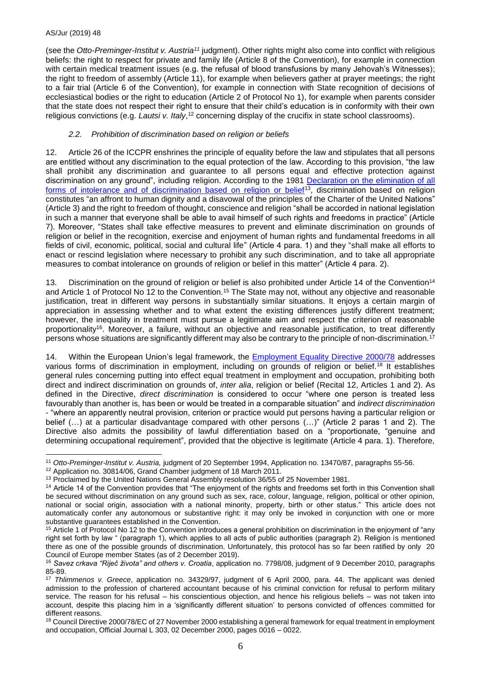(see the *Otto-Preminger-Institut v. Austria<sup>11</sup>* judgment). Other rights might also come into conflict with religious beliefs: the right to respect for private and family life (Article 8 of the Convention), for example in connection with certain medical treatment issues (e.g. the refusal of blood transfusions by many Jehovah's Witnesses); the right to freedom of assembly (Article 11), for example when believers gather at prayer meetings; the right to a fair trial (Article 6 of the Convention), for example in connection with State recognition of decisions of ecclesiastical bodies or the right to education (Article 2 of Protocol No 1), for example when parents consider that the state does not respect their right to ensure that their child's education is in conformity with their own religious convictions (e.g. *Lautsi v. Italy*,<sup>12</sup> concerning display of the crucifix in state school classrooms).

#### *2.2. Prohibition of discrimination based on religion or beliefs*

12. Article 26 of the ICCPR enshrines the principle of equality before the law and stipulates that all persons are entitled without any discrimination to the equal protection of the law. According to this provision, "the law shall prohibit any discrimination and guarantee to all persons equal and effective protection against discrimination on any ground", including religion. According to the 1981 Declaration on the elimination of all [forms of intolerance and of discrimination based on religion or belief](https://www.ohchr.org/EN/ProfessionalInterest/Pages/ReligionOrBelief.aspx)<sup>13</sup>, discrimination based on religion constitutes "an affront to human dignity and a disavowal of the principles of the Charter of the United Nations" (Article 3) and the right to freedom of thought, conscience and religion "shall be accorded in national legislation in such a manner that everyone shall be able to avail himself of such rights and freedoms in practice" (Article 7). Moreover, "States shall take effective measures to prevent and eliminate discrimination on grounds of religion or belief in the recognition, exercise and enjoyment of human rights and fundamental freedoms in all fields of civil, economic, political, social and cultural life" (Article 4 para. 1) and they "shall make all efforts to enact or rescind legislation where necessary to prohibit any such discrimination, and to take all appropriate measures to combat intolerance on grounds of religion or belief in this matter" (Article 4 para. 2).

13. Discrimination on the ground of religion or belief is also prohibited under Article 14 of the Convention<sup>14</sup> and Article 1 of Protocol No 12 to the Convention.<sup>15</sup> The State may not, without any objective and reasonable justification, treat in different way persons in substantially similar situations. It enjoys a certain margin of appreciation in assessing whether and to what extent the existing differences justify different treatment; however, the inequality in treatment must pursue a legitimate aim and respect the criterion of reasonable proportionality<sup>16</sup>. Moreover, a failure, without an objective and reasonable justification, to treat differently persons whose situations are significantly different may also be contrary to the principle of non-discrimination.<sup>17</sup>

14. Within the European Union's legal framework, the **Employment Equality Directive 2000/78** addresses various forms of discrimination in employment, including on grounds of religion or belief.<sup>18</sup> It establishes general rules concerning putting into effect equal treatment in employment and occupation, prohibiting both direct and indirect discrimination on grounds of, *inter alia*, religion or belief (Recital 12, Articles 1 and 2). As defined in the Directive, *direct discrimination* is considered to occur "where one person is treated less favourably than another is, has been or would be treated in a comparable situation" and *indirect discrimination*  - "where an apparently neutral provision, criterion or practice would put persons having a particular religion or belief (…) at a particular disadvantage compared with other persons (…)" (Article 2 paras 1 and 2). The Directive also admits the possibility of lawful differentiation based on a "proportionate, "genuine and determining occupational requirement", provided that the objective is legitimate (Article 4 para. 1). Therefore,

<sup>&</sup>lt;u>.</u> <sup>11</sup> *Otto-Preminger-Institut v. Austria,* judgment of 20 September 1994, Application no. 13470/87, paragraphs 55-56.

<sup>12</sup> Application no. 30814/06, Grand Chamber judgment of 18 March 2011.

<sup>&</sup>lt;sup>13</sup> Proclaimed by the United Nations General Assembly resolution 36/55 of 25 November 1981.

<sup>&</sup>lt;sup>14</sup> Article 14 of the Convention provides that "The enjoyment of the rights and freedoms set forth in this Convention shall be secured without discrimination on any ground such as sex, race, colour, language, religion, political or other opinion, national or social origin, association with a national minority, property, birth or other status." This article does not automatically confer any autonomous or substantive right: it may only be invoked in conjunction with one or more substantive guarantees established in the Convention.

<sup>&</sup>lt;sup>15</sup> Article 1 of Protocol No 12 to the Convention introduces a general prohibition on discrimination in the enjoyment of "any right set forth by law " (paragraph 1), which applies to all acts of public authorities (paragraph 2). Religion is mentioned there as one of the possible grounds of discrimination. Unfortunately, this protocol has so far been ratified by only 20 Council of Europe member States (as of 2 December 2019).

<sup>16</sup> *Savez crkava "Riječ života" and others v. Croatia*, application no. 7798/08, judgment of 9 December 2010, paragraphs 85-89.

<sup>17</sup> *Thlimmenos v. Greece*, application no. 34329/97, judgment of 6 April 2000, para. 44. The applicant was denied admission to the profession of chartered accountant because of his criminal conviction for refusal to perform military service. The reason for his refusal – his conscientious objection, and hence his religious beliefs – was not taken into account, despite this placing him in a 'significantly different situation' to persons convicted of offences committed for different reasons.

<sup>&</sup>lt;sup>18</sup> Council Directive 2000/78/EC of 27 November 2000 establishing a general framework for equal treatment in employment and occupation, Official Journal L 303, 02 December 2000, pages 0016 – 0022.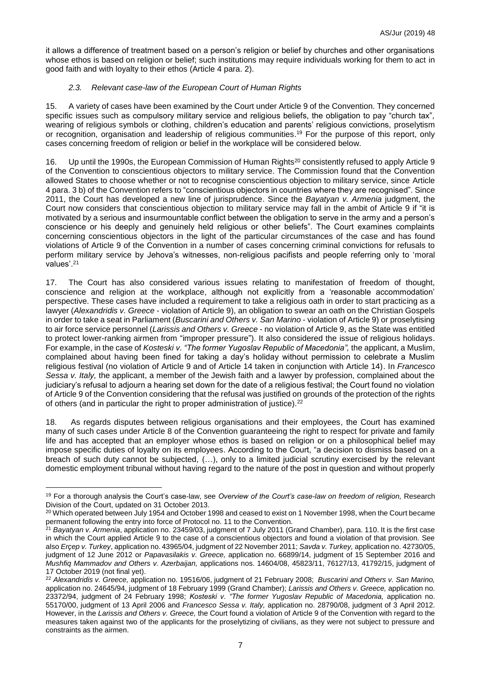it allows a difference of treatment based on a person's religion or belief by churches and other organisations whose ethos is based on religion or belief; such institutions may require individuals working for them to act in good faith and with loyalty to their ethos (Article 4 para. 2).

#### *2.3. Relevant case-law of the European Court of Human Rights*

15. A variety of cases have been examined by the Court under Article 9 of the Convention. They concerned specific issues such as compulsory military service and religious beliefs, the obligation to pay "church tax", wearing of religious symbols or clothing, children's education and parents' religious convictions, proselytism or recognition, organisation and leadership of religious communities. <sup>19</sup> For the purpose of this report, only cases concerning freedom of religion or belief in the workplace will be considered below.

16. Up until the 1990s, the European Commission of Human Rights<sup>20</sup> consistently refused to apply Article 9 of the Convention to conscientious objectors to military service. The Commission found that the Convention allowed States to choose whether or not to recognise conscientious objection to military service, since Article 4 para. 3 b) of the Convention refers to "conscientious objectors in countries where they are recognised". Since 2011, the Court has developed a new line of jurisprudence. Since the *Bayatyan v. Armenia* judgment, the Court now considers that conscientious objection to military service may fall in the ambit of Article 9 if "it is motivated by a serious and insurmountable conflict between the obligation to serve in the army and a person's conscience or his deeply and genuinely held religious or other beliefs". The Court examines complaints concerning conscientious objectors in the light of the particular circumstances of the case and has found violations of Article 9 of the Convention in a number of cases concerning criminal convictions for refusals to perform military service by Jehova's witnesses, non-religious pacifists and people referring only to 'moral values'. 21

17. The Court has also considered various issues relating to manifestation of freedom of thought, conscience and religion at the workplace, although not explicitly from a 'reasonable accommodation' perspective. These cases have included a requirement to take a religious oath in order to start practicing as a lawyer (*Alexandridis v. Greece* - violation of Article 9), an obligation to swear an oath on the Christian Gospels in order to take a seat in Parliament (*Buscarini and Others v. San Marino* - violation of Article 9) or proselytising to air force service personnel (*Larissis and Others v. Greece* - no violation of Article 9, as the State was entitled to protect lower-ranking airmen from "improper pressure"). It also considered the issue of religious holidays. For example, in the case of *Kosteski v. "The former Yugoslav Republic of Macedonia",* the applicant, a Muslim, complained about having been fined for taking a day's holiday without permission to celebrate a Muslim religious festival (no violation of Article 9 and of Article 14 taken in conjunction with Article 14). In *Francesco Sessa v. Italy,* the applicant, a member of the Jewish faith and a lawyer by profession, complained about the judiciary's refusal to adjourn a hearing set down for the date of a religious festival; the Court found no violation of Article 9 of the Convention considering that the refusal was justified on grounds of the protection of the rights of others (and in particular the right to proper administration of justice).<sup>22</sup>

18. As regards disputes between religious organisations and their employees, the Court has examined many of such cases under Article 8 of the Convention guaranteeing the right to respect for private and family life and has accepted that an employer whose ethos is based on religion or on a philosophical belief may impose specific duties of loyalty on its employees. According to the Court, "a decision to dismiss based on a breach of such duty cannot be subjected, (…), only to a limited judicial scrutiny exercised by the relevant domestic employment tribunal without having regard to the nature of the post in question and without properly

<u>.</u>

<sup>19</sup> For a thorough analysis the Court's case-law, see *Overview of the Court's case-law on freedom of religion,* Research Division of the Court, updated on 31 October 2013.

<sup>&</sup>lt;sup>20</sup> Which operated between July 1954 and October 1998 and ceased to exist on 1 November 1998, when the Court became permanent following the entry into force of Protocol no. 11 to the Convention.

<sup>21</sup> *Bayatyan v. Armenia*, application no. 23459/03, judgment of 7 July 2011 (Grand Chamber), para. 110. It is the first case in which the Court applied Article 9 to the case of a conscientious objectors and found a violation of that provision. See also *Erçep v. Turkey*, application no. 43965/04, judgment of 22 November 2011; *Savda v. Turkey,* application no. 42730/05, judgment of 12 June 2012 or *Papavasilakis v. Greece,* application no. 66899/14, judgment of 15 September 2016 and *Mushfiq Mammadov and Others v. Azerbaijan,* applications nos. 14604/08, 45823/11, 76127/13, 41792/15, judgment of 17 October 2019 (not final yet).

<sup>22</sup> *Alexandridis v. Greece,* application no. 19516/06, judgment of 21 February 2008; *Buscarini and Others v. San Marino,*  application no. 24645/94, judgment of 18 February 1999 (Grand Chamber); *Larissis and Others v. Greece,* application no. 23372/94, judgment of 24 February 1998; *Kosteski v. "The former Yugoslav Republic of Macedonia,* application no. 55170/00, judgment of 13 April 2006 and *Francesco Sessa v. Italy,* application no. 28790/08, judgment of 3 April 2012. However, in the *Larissis and Others v. Greece,* the Court found a violation of Article 9 of the Convention with regard to the measures taken against two of the applicants for the proselytizing of civilians, as they were not subject to pressure and constraints as the airmen.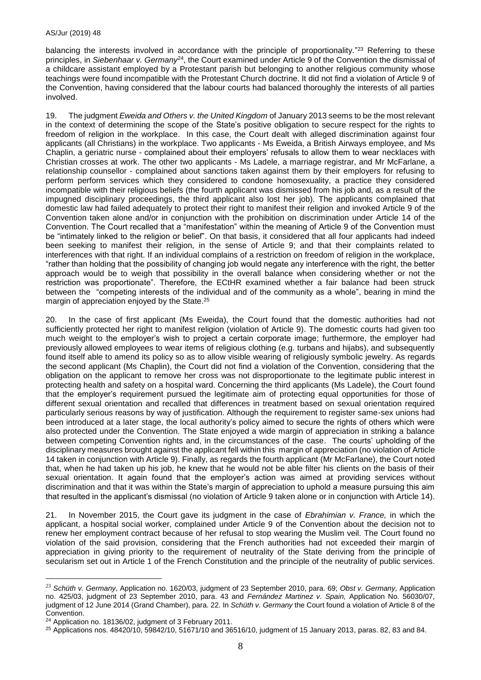balancing the interests involved in accordance with the principle of proportionality." <sup>23</sup> Referring to these principles, in *Siebenhaar v. Germany<sup>24</sup>*, the Court examined under Article 9 of the Convention the dismissal of a childcare assistant employed by a Protestant parish but belonging to another religious community whose teachings were found incompatible with the Protestant Church doctrine. It did not find a violation of Article 9 of the Convention, having considered that the labour courts had balanced thoroughly the interests of all parties involved.

19. The judgment *Eweida and Others v. the United Kingdom* of January 2013 seems to be the most relevant in the context of determining the scope of the State's positive obligation to secure respect for the rights to freedom of religion in the workplace. In this case, the Court dealt with alleged discrimination against four applicants (all Christians) in the workplace. Two applicants - Ms Eweida, a British Airways employee, and Ms Chaplin, a geriatric nurse - complained about their employers' refusals to allow them to wear necklaces with Christian crosses at work. The other two applicants - Ms Ladele, a marriage registrar, and Mr McFarlane, a relationship counsellor - complained about sanctions taken against them by their employers for refusing to perform perform services which they considered to condone homosexuality, a practice they considered incompatible with their religious beliefs (the fourth applicant was dismissed from his job and, as a result of the impugned disciplinary proceedings, the third applicant also lost her job). The applicants complained that domestic law had failed adequately to protect their right to manifest their religion and invoked Article 9 of the Convention taken alone and/or in conjunction with the prohibition on discrimination under Article 14 of the Convention. The Court recalled that a "manifestation" within the meaning of Article 9 of the Convention must be "intimately linked to the religion or belief". On that basis, it considered that all four applicants had indeed been seeking to manifest their religion, in the sense of Article 9; and that their complaints related to interferences with that right. If an individual complains of a restriction on freedom of religion in the workplace, "rather than holding that the possibility of changing job would negate any interference with the right, the better approach would be to weigh that possibility in the overall balance when considering whether or not the restriction was proportionate". Therefore, the ECtHR examined whether a fair balance had been struck between the "competing interests of the individual and of the community as a whole", bearing in mind the margin of appreciation enjoyed by the State.<sup>25</sup>

20. In the case of first applicant (Ms Eweida), the Court found that the domestic authorities had not sufficiently protected her right to manifest religion (violation of Article 9). The domestic courts had given too much weight to the employer's wish to project a certain corporate image; furthermore, the employer had previously allowed employees to wear items of religious clothing (e.g. turbans and hijabs), and subsequently found itself able to amend its policy so as to allow visible wearing of religiously symbolic jewelry. As regards the second applicant (Ms Chaplin), the Court did not find a violation of the Convention, considering that the obligation on the applicant to remove her cross was not disproportionate to the legitimate public interest in protecting health and safety on a hospital ward. Concerning the third applicants (Ms Ladele), the Court found that the employer's requirement pursued the legitimate aim of protecting equal opportunities for those of different sexual orientation and recalled that differences in treatment based on sexual orientation required particularly serious reasons by way of justification. Although the requirement to register same-sex unions had been introduced at a later stage, the local authority's policy aimed to secure the rights of others which were also protected under the Convention. The State enjoyed a wide margin of appreciation in striking a balance between competing Convention rights and, in the circumstances of the case. The courts' upholding of the disciplinary measures brought against the applicant fell within this margin of appreciation (no violation of Article 14 taken in conjunction with Article 9). Finally, as regards the fourth applicant (Mr McFarlane), the Court noted that, when he had taken up his job, he knew that he would not be able filter his clients on the basis of their sexual orientation. It again found that the employer's action was aimed at providing services without discrimination and that it was within the State's margin of appreciation to uphold a measure pursuing this aim that resulted in the applicant's dismissal (no violation of Article 9 taken alone or in conjunction with Article 14).

21. In November 2015, the Court gave its judgment in the case of *Ebrahimian v. France,* in which the applicant, a hospital social worker, complained under Article 9 of the Convention about the decision not to renew her employment contract because of her refusal to stop wearing the Muslim veil. The Court found no violation of the said provision, considering that the French authorities had not exceeded their margin of appreciation in giving priority to the requirement of neutrality of the State deriving from the principle of secularism set out in Article 1 of the French Constitution and the principle of the neutrality of public services.

1

<sup>23</sup> *Schüth v. Germany*, Application no. 1620/03, judgment of 23 September 2010, para. 69; *Obst v. Germany,* Application no. 425/03, judgment of 23 September 2010, para. 43 and *Fernández Martinez v. Spain,* Application No. 56030/07, judgment of 12 June 2014 (Grand Chamber), para. 22. In *Schüth v. Germany* the Court found a violation of Article 8 of the Convention.

<sup>24</sup> Application no. 18136/02, judgment of 3 February 2011.

 $25$  Applications nos. 48420/10, 59842/10, 51671/10 and 36516/10, judgment of 15 January 2013, paras. 82, 83 and 84.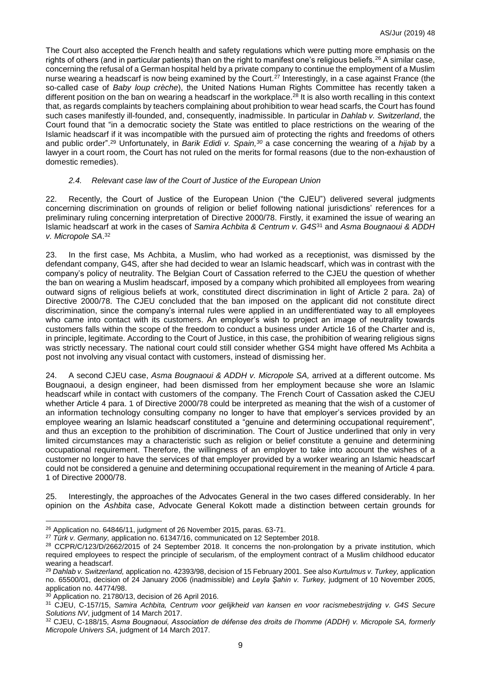The Court also accepted the French health and safety regulations which were putting more emphasis on the rights of others (and in particular patients) than on the right to manifest one's religious beliefs.<sup>26</sup> A similar case, concerning the refusal of a German hospital held by a private company to continue the employment of a Muslim nurse wearing a headscarf is now being examined by the Court.<sup>27</sup> Interestingly, in a case against France (the so-called case of *Baby loup crèche*), the United Nations Human Rights Committee has recently taken a different position on the ban on wearing a headscarf in the workplace.<sup>28</sup> It is also worth recalling in this context that, as regards complaints by teachers complaining about prohibition to wear head scarfs, the Court has found such cases manifestly ill-founded, and, consequently, inadmissible. In particular in *Dahlab v. Switzerland*, the Court found that "in a democratic society the State was entitled to place restrictions on the wearing of the Islamic headscarf if it was incompatible with the pursued aim of protecting the rights and freedoms of others and public order".<sup>29</sup> Unfortunately, in *Barik Edidi v. Spain,<sup>30</sup>* a case concerning the wearing of a *hijab* by a lawyer in a court room, the Court has not ruled on the merits for formal reasons (due to the non-exhaustion of domestic remedies).

#### *2.4. Relevant case law of the Court of Justice of the European Union*

22. Recently, the Court of Justice of the European Union ("the CJEU") delivered several judgments concerning discrimination on grounds of religion or belief following national jurisdictions' references for a preliminary ruling concerning interpretation of Directive 2000/78. Firstly, it examined the issue of wearing an Islamic headscarf at work in the cases of *Samira Achbita & Centrum v. G4S*<sup>31</sup> and *Asma Bougnaoui & ADDH v. Micropole SA*. 32

23. In the first case, Ms Achbita, a Muslim, who had worked as a receptionist, was dismissed by the defendant company, G4S, after she had decided to wear an Islamic headscarf, which was in contrast with the company's policy of neutrality. The Belgian Court of Cassation referred to the CJEU the question of whether the ban on wearing a Muslim headscarf, imposed by a company which prohibited all employees from wearing outward signs of religious beliefs at work, constituted direct discrimination in light of Article 2 para. 2a) of Directive 2000/78. The CJEU concluded that the ban imposed on the applicant did not constitute direct discrimination, since the company's internal rules were applied in an undifferentiated way to all employees who came into contact with its customers. An employer's wish to project an image of neutrality towards customers falls within the scope of the freedom to conduct a business under Article 16 of the Charter and is, in principle, legitimate. According to the Court of Justice, in this case, the prohibition of wearing religious signs was strictly necessary. The national court could still consider whether GS4 might have offered Ms Achbita a post not involving any visual contact with customers, instead of dismissing her.

24. A second CJEU case, *Asma Bougnaoui & ADDH v. Micropole SA,* arrived at a different outcome. Ms Bougnaoui, a design engineer, had been dismissed from her employment because she wore an Islamic headscarf while in contact with customers of the company. The French Court of Cassation asked the CJEU whether Article 4 para. 1 of Directive 2000/78 could be interpreted as meaning that the wish of a customer of an information technology consulting company no longer to have that employer's services provided by an employee wearing an Islamic headscarf constituted a "genuine and determining occupational requirement", and thus an exception to the prohibition of discrimination. The Court of Justice underlined that only in very limited circumstances may a characteristic such as religion or belief constitute a genuine and determining occupational requirement. Therefore, the willingness of an employer to take into account the wishes of a customer no longer to have the services of that employer provided by a worker wearing an Islamic headscarf could not be considered a genuine and determining occupational requirement in the meaning of Article 4 para. 1 of Directive 2000/78.

25. Interestingly, the approaches of the Advocates General in the two cases differed considerably. In her opinion on the *Ashbita* case, Advocate General Kokott made a distinction between certain grounds for

<u>.</u>

 $26$  Application no. 64846/11, judgment of 26 November 2015, paras. 63-71.

<sup>27</sup> *Türk v. Germany,* application no. 61347/16, communicated on 12 September 2018.

<sup>&</sup>lt;sup>28</sup> CCPR/C/123/D/2662/2015 of 24 September 2018. It concerns the non-prolongation by a private institution, which required employees to respect the principle of secularism, of the employment contract of a Muslim childhood educator wearing a headscarf.

<sup>29</sup> *Dahlab v. Switzerland,* application no. 42393/98, decision of 15 February 2001. See also *Kurtulmus v. Turkey,* application no. 65500/01, decision of 24 January 2006 (inadmissible) and *Leyla Şahin v. Turkey,* judgment of 10 November 2005, application no. 44774/98.

<sup>&</sup>lt;sup>30</sup> Application no. 21780/13, decision of 26 April 2016.

<sup>31</sup> CJEU, C-157/15, *Samira Achbita, Centrum voor gelijkheid van kansen en voor racismebestrijding v. G4S Secure Solutions NV*, judgment of 14 March 2017.

<sup>32</sup> CJEU, C-188/15, *Asma Bougnaoui, Association de défense des droits de l'homme (ADDH) v. Micropole SA, formerly Micropole Univers SA*, judgment of 14 March 2017.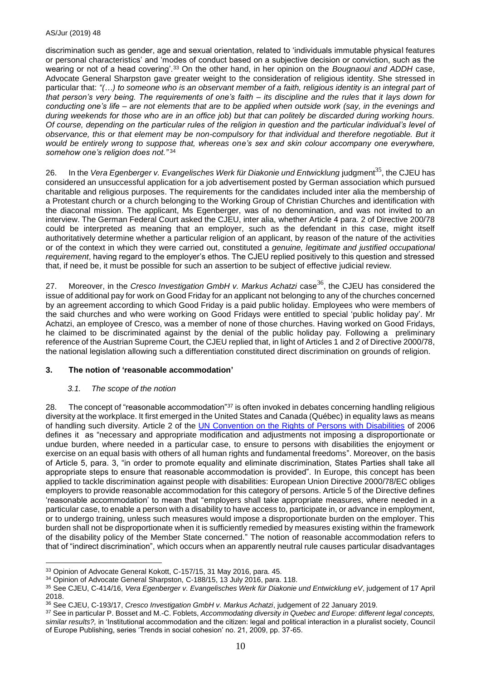discrimination such as gender, age and sexual orientation, related to 'individuals immutable physical features or personal characteristics' and 'modes of conduct based on a subjective decision or conviction, such as the wearing or not of a head covering'.<sup>33</sup> On the other hand, in her opinion on the *Bougnaoui and ADDH* case, Advocate General Sharpston gave greater weight to the consideration of religious identity. She stressed in particular that: *"(…) to someone who is an observant member of a faith, religious identity is an integral part of that person's very being. The requirements of one's faith – its discipline and the rules that it lays down for conducting one's life – are not elements that are to be applied when outside work (say, in the evenings and during weekends for those who are in an office job) but that can politely be discarded during working hours. Of course, depending on the particular rules of the religion in question and the particular individual's level of observance, this or that element may be non-compulsory for that individual and therefore negotiable. But it would be entirely wrong to suppose that, whereas one's sex and skin colour accompany one everywhere, somehow one's religion does not."* <sup>34</sup>

26. In the *Vera Egenberger v. Evangelisches Werk für Diakonie und Entwicklung* judgment<sup>35</sup>, the CJEU has considered an unsuccessful application for a job advertisement posted by German association which pursued charitable and religious purposes. The requirements for the candidates included inter alia the membership of a Protestant church or a church belonging to the Working Group of Christian Churches and identification with the diaconal mission. The applicant, Ms Egenberger, was of no denomination, and was not invited to an interview. The German Federal Court asked the CJEU, inter alia, whether Article 4 para. 2 of Directive 200/78 could be interpreted as meaning that an employer, such as the defendant in this case, might itself authoritatively determine whether a particular religion of an applicant, by reason of the nature of the activities or of the context in which they were carried out, constituted a *genuine, legitimate and justified occupational requirement*, having regard to the employer's ethos. The CJEU replied positively to this question and stressed that, if need be, it must be possible for such an assertion to be subject of effective judicial review.

27. Moreover, in the *Cresco Investigation GmbH v. Markus Achatzi* case<sup>36</sup>, the CJEU has considered the issue of additional pay for work on Good Friday for an applicant not belonging to any of the churches concerned by an agreement according to which Good Friday is a paid public holiday. Employees who were members of the said churches and who were working on Good Fridays were entitled to special 'public holiday pay'. Mr Achatzi, an employee of Cresco, was a member of none of those churches. Having worked on Good Fridays, he claimed to be discriminated against by the denial of the public holiday pay. Following a preliminary reference of the Austrian Supreme Court, the CJEU replied that, in light of Articles 1 and 2 of Directive 2000/78, the national legislation allowing such a differentiation constituted direct discrimination on grounds of religion.

#### **3. The notion of 'reasonable accommodation'**

#### *3.1. The scope of the notion*

28. The concept of "reasonable accommodation"<sup>37</sup> is often invoked in debates concerning handling religious diversity at the workplace. It first emerged in the United States and Canada (Québec) in equality laws as means of handling such diversity. Article 2 of the [UN Convention on the Rights of Persons with Disabilities](https://www.ohchr.org/EN/HRBodies/CRPD/Pages/ConventionRightsPersonsWithDisabilities.aspx) of 2006 defines it as "necessary and appropriate modification and adjustments not imposing a disproportionate or undue burden, where needed in a particular case, to ensure to persons with disabilities the enjoyment or exercise on an equal basis with others of all human rights and fundamental freedoms". Moreover, on the basis of Article 5, para. 3, "in order to promote equality and eliminate discrimination, States Parties shall take all appropriate steps to ensure that reasonable accommodation is provided". In Europe, this concept has been applied to tackle discrimination against people with disabilities: European Union Directive 2000/78/EC obliges employers to provide reasonable accommodation for this category of persons. Article 5 of the Directive defines 'reasonable accommodation' to mean that "employers shall take appropriate measures, where needed in a particular case, to enable a person with a disability to have access to, participate in, or advance in employment, or to undergo training, unless such measures would impose a disproportionate burden on the employer. This burden shall not be disproportionate when it is sufficiently remedied by measures existing within the framework of the disability policy of the Member State concerned." The notion of reasonable accommodation refers to that of "indirect discrimination", which occurs when an apparently neutral rule causes particular disadvantages

<sup>&</sup>lt;u>.</u> <sup>33</sup> Opinion of Advocate General Kokott, C-157/15, 31 May 2016, para. 45.

<sup>34</sup> Opinion of Advocate General Sharpston, C-188/15, 13 July 2016, para. 118.

<sup>35</sup> See CJEU, C-414/16, *Vera Egenberger v. Evangelisches Werk für Diakonie und Entwicklung eV*, judgement of 17 April 2018.

<sup>36</sup> See CJEU, C-193/17, *Cresco Investigation GmbH v. Markus Achatzi*, judgement of 22 January 2019.

<sup>37</sup> See in particular P. Bosset and M.-C. Foblets, *Accommodating diversity in Quebec and Europe: different legal concepts, similar results?,* in 'Institutional accommodation and the citizen: legal and political interaction in a pluralist society, Council of Europe Publishing, series 'Trends in social cohesion' no. 21, 2009, pp. 37-65.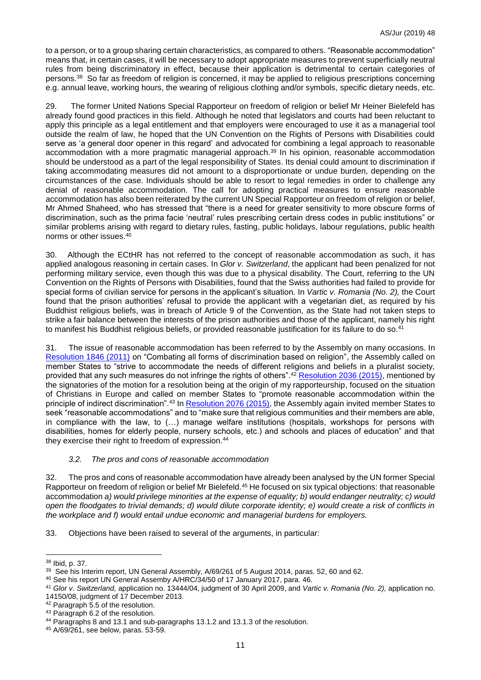to a person, or to a group sharing certain characteristics, as compared to others. "Reasonable accommodation" means that, in certain cases, it will be necessary to adopt appropriate measures to prevent superficially neutral rules from being discriminatory in effect, because their application is detrimental to certain categories of persons. <sup>38</sup> So far as freedom of religion is concerned, it may be applied to religious prescriptions concerning e.g. annual leave, working hours, the wearing of religious clothing and/or symbols, specific dietary needs, etc.

29. The former United Nations Special Rapporteur on freedom of religion or belief Mr Heiner Bielefeld has already found good practices in this field. Although he noted that legislators and courts had been reluctant to apply this principle as a legal entitlement and that employers were encouraged to use it as a managerial tool outside the realm of law, he hoped that the UN Convention on the Rights of Persons with Disabilities could serve as 'a general door opener in this regard' and advocated for combining a legal approach to reasonable accommodation with a more pragmatic managerial approach.<sup>39</sup> In his opinion, reasonable accommodation should be understood as a part of the legal responsibility of States. Its denial could amount to discrimination if taking accommodating measures did not amount to a disproportionate or undue burden, depending on the circumstances of the case. Individuals should be able to resort to legal remedies in order to challenge any denial of reasonable accommodation. The call for adopting practical measures to ensure reasonable accommodation has also been reiterated by the current UN Special Rapporteur on freedom of religion or belief, Mr Ahmed Shaheed, who has stressed that "there is a need for greater sensitivity to more obscure forms of discrimination, such as the prima facie 'neutral' rules prescribing certain dress codes in public institutions" or similar problems arising with regard to dietary rules, fasting, public holidays, labour regulations, public health norms or other issues.<sup>40</sup>

30. Although the ECtHR has not referred to the concept of reasonable accommodation as such, it has applied analogous reasoning in certain cases. In *Glor v. Switzerland*, the applicant had been penalized for not performing military service, even though this was due to a physical disability. The Court, referring to the UN Convention on the Rights of Persons with Disabilities, found that the Swiss authorities had failed to provide for special forms of civilian service for persons in the applicant's situation. In *Vartic v. Romania (No. 2),* the Court found that the prison authorities' refusal to provide the applicant with a vegetarian diet, as required by his Buddhist religious beliefs, was in breach of Article 9 of the Convention, as the State had not taken steps to strike a fair balance between the interests of the prison authorities and those of the applicant, namely his right to manifest his Buddhist religious beliefs, or provided reasonable justification for its failure to do so. 41

31. The issue of reasonable accommodation has been referred to by the Assembly on many occasions. In [Resolution 1846 \(2011\)](http://assembly.coe.int/nw/xml/XRef/Xref-DocDetails-EN.asp?fileid=18055) on "Combating all forms of discrimination based on religion", the Assembly called on member States to "strive to accommodate the needs of different religions and beliefs in a pluralist society, provided that any such measures do not infringe the rights of others".<sup>42</sup> [Resolution 2036 \(2015\),](http://assembly.coe.int/nw/xml/XRef/Xref-DocDetails-EN.asp?fileid=21549) mentioned by the signatories of the motion for a resolution being at the origin of my rapporteurship, focused on the situation of Christians in Europe and called on member States to "promote reasonable accommodation within the principle of indirect discrimination".<sup>43</sup> In [Resolution 2076 \(2015\),](http://assembly.coe.int/nw/xml/XRef/Xref-DocDetails-EN.asp?fileid=22199) the Assembly again invited member States to seek "reasonable accommodations" and to "make sure that religious communities and their members are able, in compliance with the law, to (…) manage welfare institutions (hospitals, workshops for persons with disabilities, homes for elderly people, nursery schools, etc.) and schools and places of education" and that they exercise their right to freedom of expression. 44

#### *3.2. The pros and cons of reasonable accommodation*

32. The pros and cons of reasonable accommodation have already been analysed by the UN former Special Rapporteur on freedom of religion or belief Mr Bielefeld.<sup>45</sup> He focused on six typical objections: that reasonable accommodation *a) would privilege minorities at the expense of equality; b) would endanger neutrality; c) would open the floodgates to trivial demands; d) would dilute corporate identity; e) would create a risk of conflicts in the workplace and f) would entail undue economic and managerial burdens for employers.*

33. Objections have been raised to several of the arguments, in particular:

14150/08, judgment of 17 December 2013.

<sup>&</sup>lt;u>.</u> <sup>38</sup> Ibid, p. 37.

<sup>&</sup>lt;sup>39</sup> See his Interim report, UN General Assembly, A/69/261 of 5 August 2014, paras. 52, 60 and 62.

<sup>40</sup> See his report UN General Assemby A/HRC/34/50 of 17 January 2017, para. 46.

<sup>41</sup> *Glor v. Switzerland,* application no. 13444/04, judgment of 30 April 2009, and *Vartic v. Romania (No. 2),* application no.

<sup>42</sup> Paragraph 5.5 of the resolution.

<sup>43</sup> Paragraph 6.2 of the resolution.

<sup>44</sup> Paragraphs 8 and 13.1 and sub-paragraphs 13.1.2 and 13.1.3 of the resolution.

<sup>45</sup> A/69/261, see below, paras. 53-59.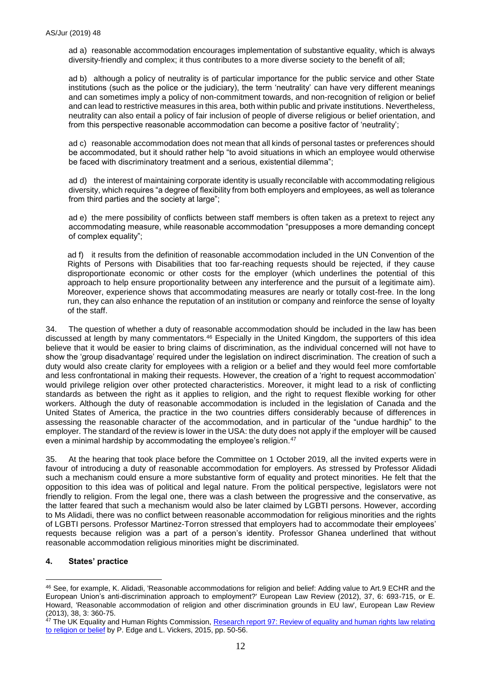ad a) reasonable accommodation encourages implementation of substantive equality, which is always diversity-friendly and complex; it thus contributes to a more diverse society to the benefit of all;

ad b) although a policy of neutrality is of particular importance for the public service and other State institutions (such as the police or the judiciary), the term 'neutrality' can have very different meanings and can sometimes imply a policy of non-commitment towards, and non-recognition of religion or belief and can lead to restrictive measures in this area, both within public and private institutions. Nevertheless, neutrality can also entail a policy of fair inclusion of people of diverse religious or belief orientation, and from this perspective reasonable accommodation can become a positive factor of 'neutrality';

ad c) reasonable accommodation does not mean that all kinds of personal tastes or preferences should be accommodated, but it should rather help "to avoid situations in which an employee would otherwise be faced with discriminatory treatment and a serious, existential dilemma";

ad d) the interest of maintaining corporate identity is usually reconcilable with accommodating religious diversity, which requires "a degree of flexibility from both employers and employees, as well as tolerance from third parties and the society at large";

ad e) the mere possibility of conflicts between staff members is often taken as a pretext to reject any accommodating measure, while reasonable accommodation "presupposes a more demanding concept of complex equality";

ad f) it results from the definition of reasonable accommodation included in the UN Convention of the Rights of Persons with Disabilities that too far-reaching requests should be rejected, if they cause disproportionate economic or other costs for the employer (which underlines the potential of this approach to help ensure proportionality between any interference and the pursuit of a legitimate aim). Moreover, experience shows that accommodating measures are nearly or totally cost-free. In the long run, they can also enhance the reputation of an institution or company and reinforce the sense of loyalty of the staff.

34. The question of whether a duty of reasonable accommodation should be included in the law has been discussed at length by many commentators.<sup>46</sup> Especially in the United Kingdom, the supporters of this idea believe that it would be easier to bring claims of discrimination, as the individual concerned will not have to show the 'group disadvantage' required under the legislation on indirect discrimination. The creation of such a duty would also create clarity for employees with a religion or a belief and they would feel more comfortable and less confrontational in making their requests. However, the creation of a 'right to request accommodation' would privilege religion over other protected characteristics. Moreover, it might lead to a risk of conflicting standards as between the right as it applies to religion, and the right to request flexible working for other workers. Although the duty of reasonable accommodation is included in the legislation of Canada and the United States of America, the practice in the two countries differs considerably because of differences in assessing the reasonable character of the accommodation, and in particular of the "undue hardhip" to the employer. The standard of the review is lower in the USA: the duty does not apply if the employer will be caused even a minimal hardship by accommodating the employee's religion.<sup>47</sup>

35. At the hearing that took place before the Committee on 1 October 2019, all the invited experts were in favour of introducing a duty of reasonable accommodation for employers. As stressed by Professor Alidadi such a mechanism could ensure a more substantive form of equality and protect minorities. He felt that the opposition to this idea was of political and legal nature. From the political perspective, legislators were not friendly to religion. From the legal one, there was a clash between the progressive and the conservative, as the latter feared that such a mechanism would also be later claimed by LGBTI persons. However, according to Ms Alidadi, there was no conflict between reasonable accommodation for religious minorities and the rights of LGBTI persons. Professor Martinez-Torron stressed that employers had to accommodate their employees' requests because religion was a part of a person's identity. Professor Ghanea underlined that without reasonable accommodation religious minorities might be discriminated.

#### **4. States' practice**

1

<sup>46</sup> See, for example, K. Alidadi, 'Reasonable accommodations for religion and belief: Adding value to Art.9 ECHR and the European Union's anti-discrimination approach to employment?' European Law Review (2012), 37, 6: 693-715, or E. Howard, 'Reasonable accommodation of religion and other discrimination grounds in EU law', European Law Review (2013), 38, 3: 360-75.

<sup>47</sup> The UK Equality and Human Rights Commission, Research report 97: Review of equality and human rights law relating [to religion or belief](https://www.equalityhumanrights.com/sites/default/files/research-report-97-review-of-equality-and-human-rights-law-relating-to-religion-or-belief.pdf) by P. Edge and L. Vickers, 2015, pp. 50-56.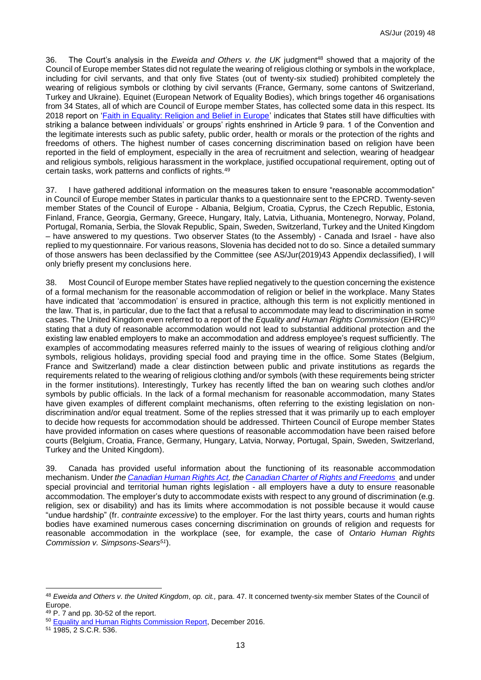36. The Court's analysis in the *Eweida and Others v. the UK* judgment<sup>48</sup> showed that a majority of the Council of Europe member States did not regulate the wearing of religious clothing or symbols in the workplace, including for civil servants, and that only five States (out of twenty-six studied) prohibited completely the wearing of religious symbols or clothing by civil servants (France, Germany, some cantons of Switzerland, Turkey and Ukraine). Equinet (European Network of Equality Bodies), which brings together 46 organisations from 34 States, all of which are Council of Europe member States, has collected some data in this respect. Its 2018 report on ['Faith in Equality: Religion and Belief in Europe'](http://equineteurope.org/wp-content/uploads/2019/02/wg_religion_report_final_web.pdf) indicates that States still have difficulties with striking a balance between individuals' or groups' rights enshrined in Article 9 para. 1 of the Convention and the legitimate interests such as public safety, public order, health or morals or the protection of the rights and freedoms of others. The highest number of cases concerning discrimination based on religion have been reported in the field of employment, especially in the area of recruitment and selection, wearing of headgear and religious symbols, religious harassment in the workplace, justified occupational requirement, opting out of certain tasks, work patterns and conflicts of rights.<sup>49</sup>

37. I have gathered additional information on the measures taken to ensure "reasonable accommodation" in Council of Europe member States in particular thanks to a questionnaire sent to the EPCRD. Twenty-seven member States of the Council of Europe - Albania, Belgium, Croatia, Cyprus, the Czech Republic, Estonia, Finland, France, Georgia, Germany, Greece, Hungary, Italy, Latvia, Lithuania, Montenegro, Norway, Poland, Portugal, Romania, Serbia, the Slovak Republic, Spain, Sweden, Switzerland, Turkey and the United Kingdom – have answered to my questions. Two observer States (to the Assembly) - Canada and Israel - have also replied to my questionnaire. For various reasons, Slovenia has decided not to do so. Since a detailed summary of those answers has been declassified by the Committee (see AS/Jur(2019)43 Appendix declassified), I will only briefly present my conclusions here.

38. Most Council of Europe member States have replied negatively to the question concerning the existence of a formal mechanism for the reasonable accommodation of religion or belief in the workplace. Many States have indicated that 'accommodation' is ensured in practice, although this term is not explicitly mentioned in the law. That is, in particular, due to the fact that a refusal to accommodate may lead to discrimination in some cases. The United Kingdom even referred to a report of the *Equality and Human Rights Commission* (EHRC)<sup>50</sup> stating that a duty of reasonable accommodation would not lead to substantial additional protection and the existing law enabled employers to make an accommodation and address employee's request sufficiently. The examples of accommodating measures referred mainly to the issues of wearing of religious clothing and/or symbols, religious holidays, providing special food and praying time in the office. Some States (Belgium, France and Switzerland) made a clear distinction between public and private institutions as regards the requirements related to the wearing of religious clothing and/or symbols (with these requirements being stricter in the former institutions). Interestingly, Turkey has recently lifted the ban on wearing such clothes and/or symbols by public officials. In the lack of a formal mechanism for reasonable accommodation, many States have given examples of different complaint mechanisms, often referring to the existing legislation on nondiscrimination and/or equal treatment. Some of the replies stressed that it was primarily up to each employer to decide how requests for accommodation should be addressed. Thirteen Council of Europe member States have provided information on cases where questions of reasonable accommodation have been raised before courts (Belgium, Croatia, France, Germany, Hungary, Latvia, Norway, Portugal, Spain, Sweden, Switzerland, Turkey and the United Kingdom).

39. Canada has provided useful information about the functioning of its reasonable accommodation mechanism. Under *th[e Canadian Human Rights Act,](https://laws-lois.justice.gc.ca/eng/acts/h-6/) the [Canadian Charter of Rights and Freedoms](https://laws-lois.justice.gc.ca/eng/Const/page-15.html)* and under special provincial and territorial human rights legislation - all employers have a duty to ensure reasonable accommodation. The employer's duty to accommodate exists with respect to any ground of discrimination (e.g. religion, sex or disability) and has its limits where accommodation is not possible because it would cause "undue hardship" (fr. *contrainte excessive*) to the employer. For the last thirty years, courts and human rights bodies have examined numerous cases concerning discrimination on grounds of religion and requests for reasonable accommodation in the workplace (see, for example, the case of *Ontario Human Rights Commission v. Simpsons-Sears<sup>51</sup>*).

<u>.</u>

<sup>48</sup> *Eweida and Others v. the United Kingdom*, *op. cit.,* para. 47. It concerned twenty-six member States of the Council of Europe.

<sup>49</sup> P. 7 and pp. 30-52 of the report.

<sup>50</sup> [Equality and Human Rights Commission Report,](https://www.equalityhumanrights.com/sites/default/files/religion-or-belief-report-december-2016.pdf) December 2016.

<sup>51</sup> 1985, 2 S.C.R. 536.